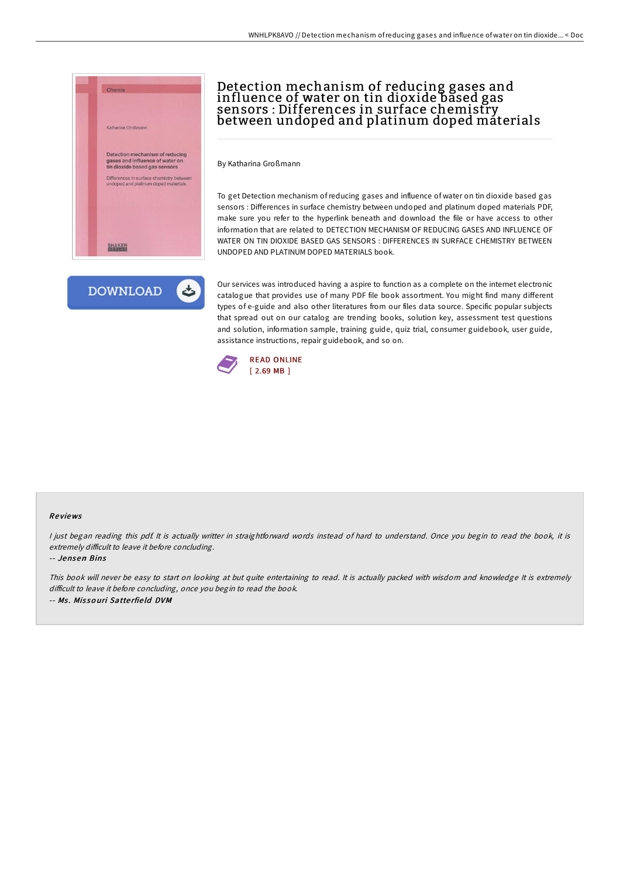



# Detection mechanism of reducing gases and influence of water on tin dioxide based gas sensors : Differences in surface chemistry between undoped and platinum doped materials

By Katharina Großmann

To get Detection mechanism of reducing gases and influence of water on tin dioxide based gas sensors : Differences in surface chemistry between undoped and platinum doped materials PDF, make sure you refer to the hyperlink beneath and download the file or have access to other information that are related to DETECTION MECHANISM OF REDUCING GASES AND INFLUENCE OF WATER ON TIN DIOXIDE BASED GAS SENSORS : DIFFERENCES IN SURFACE CHEMISTRY BETWEEN UNDOPED AND PLATINUM DOPED MATERIALS book.

Our services was introduced having a aspire to function as a complete on the internet electronic catalogue that provides use of many PDF file book assortment. You might find many different types of e-guide and also other literatures from our files data source. Specific popular subjects that spread out on our catalog are trending books, solution key, assessment test questions and solution, information sample, training guide, quiz trial, consumer guidebook, user guide, assistance instructions, repair guidebook, and so on.



#### Re views

<sup>I</sup> just began reading this pdf. It is actually writter in straightforward words instead of hard to understand. Once you begin to read the book, it is extremely difficult to leave it before concluding.

-- Jensen Bins

This book will never be easy to start on looking at but quite entertaining to read. It is actually packed with wisdom and knowledge It is extremely difficult to leave it before concluding, once you begin to read the book. -- Ms. Missouri Satterfield DVM